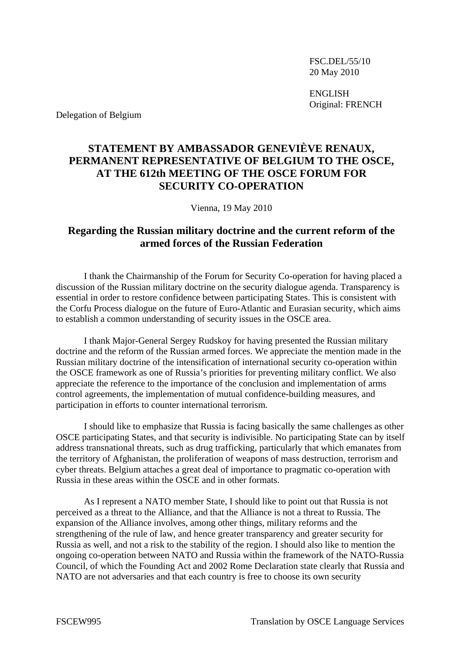FSC.DEL/55/10 20 May 2010

 ENGLISH Original: FRENCH

Delegation of Belgium

## **STATEMENT BY AMBASSADOR GENEVIÈVE RENAUX, PERMANENT REPRESENTATIVE OF BELGIUM TO THE OSCE, AT THE 612th MEETING OF THE OSCE FORUM FOR SECURITY CO-OPERATION**

Vienna, 19 May 2010

## **Regarding the Russian military doctrine and the current reform of the armed forces of the Russian Federation**

 I thank the Chairmanship of the Forum for Security Co-operation for having placed a discussion of the Russian military doctrine on the security dialogue agenda. Transparency is essential in order to restore confidence between participating States. This is consistent with the Corfu Process dialogue on the future of Euro-Atlantic and Eurasian security, which aims to establish a common understanding of security issues in the OSCE area.

 I thank Major-General Sergey Rudskoy for having presented the Russian military doctrine and the reform of the Russian armed forces. We appreciate the mention made in the Russian military doctrine of the intensification of international security co-operation within the OSCE framework as one of Russia's priorities for preventing military conflict. We also appreciate the reference to the importance of the conclusion and implementation of arms control agreements, the implementation of mutual confidence-building measures, and participation in efforts to counter international terrorism.

 I should like to emphasize that Russia is facing basically the same challenges as other OSCE participating States, and that security is indivisible. No participating State can by itself address transnational threats, such as drug trafficking, particularly that which emanates from the territory of Afghanistan, the proliferation of weapons of mass destruction, terrorism and cyber threats. Belgium attaches a great deal of importance to pragmatic co-operation with Russia in these areas within the OSCE and in other formats.

 As I represent a NATO member State, I should like to point out that Russia is not perceived as a threat to the Alliance, and that the Alliance is not a threat to Russia. The expansion of the Alliance involves, among other things, military reforms and the strengthening of the rule of law, and hence greater transparency and greater security for Russia as well, and not a risk to the stability of the region. I should also like to mention the ongoing co-operation between NATO and Russia within the framework of the NATO-Russia Council, of which the Founding Act and 2002 Rome Declaration state clearly that Russia and NATO are not adversaries and that each country is free to choose its own security